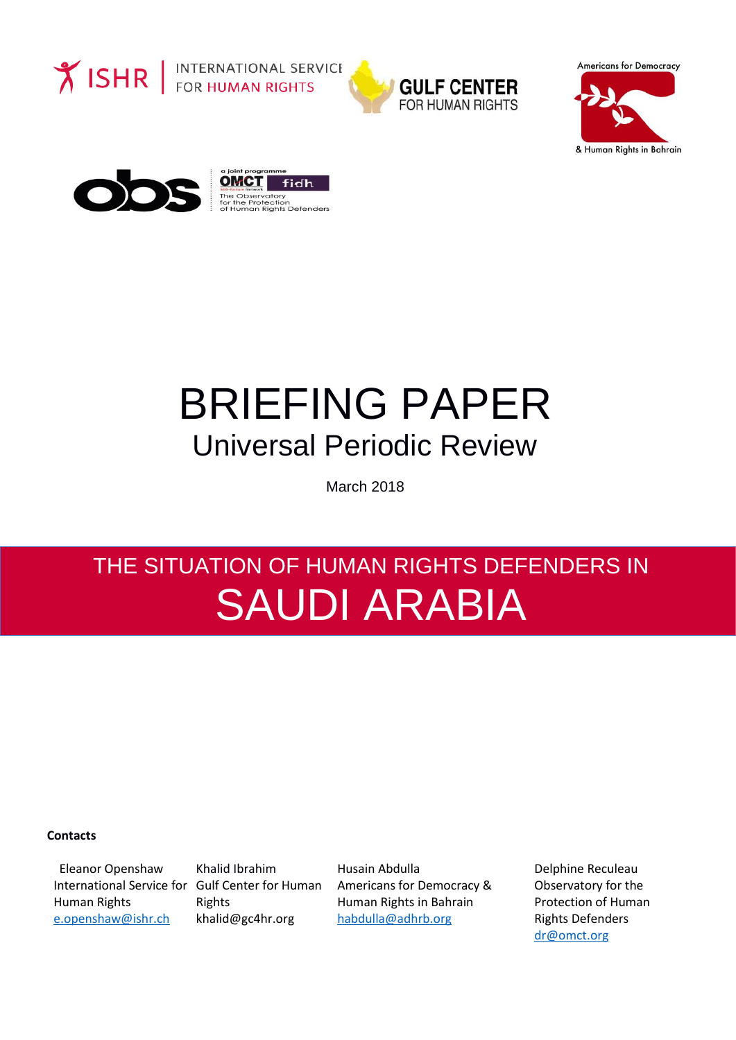

**Y ISHR** FOR HUMAN RIGHTS



**Americans for Democracy** 





# BRIEFING PAPER Universal Periodic Review

March 2018

## THE SITUATION OF HUMAN RIGHTS DEFENDERS IN SAUDI ARABIA

#### **Contacts**

Eleanor Openshaw International Service for Gulf Center for Human Human Rights [e.openshaw@ishr.ch](mailto:e.openshaw@ishr.ch)

Khalid Ibrahim Rights [khalid@gc4hr.org](mailto:khalid@gc4hr.org)

Husain Abdulla Americans for Democracy & Human Rights in Bahrain [habdulla@adhrb.org](mailto:habdulla@adhrb.org)

Delphine Reculeau Observatory for the Protection of Human Rights Defenders [dr@omct.org](mailto:dr@omct.org)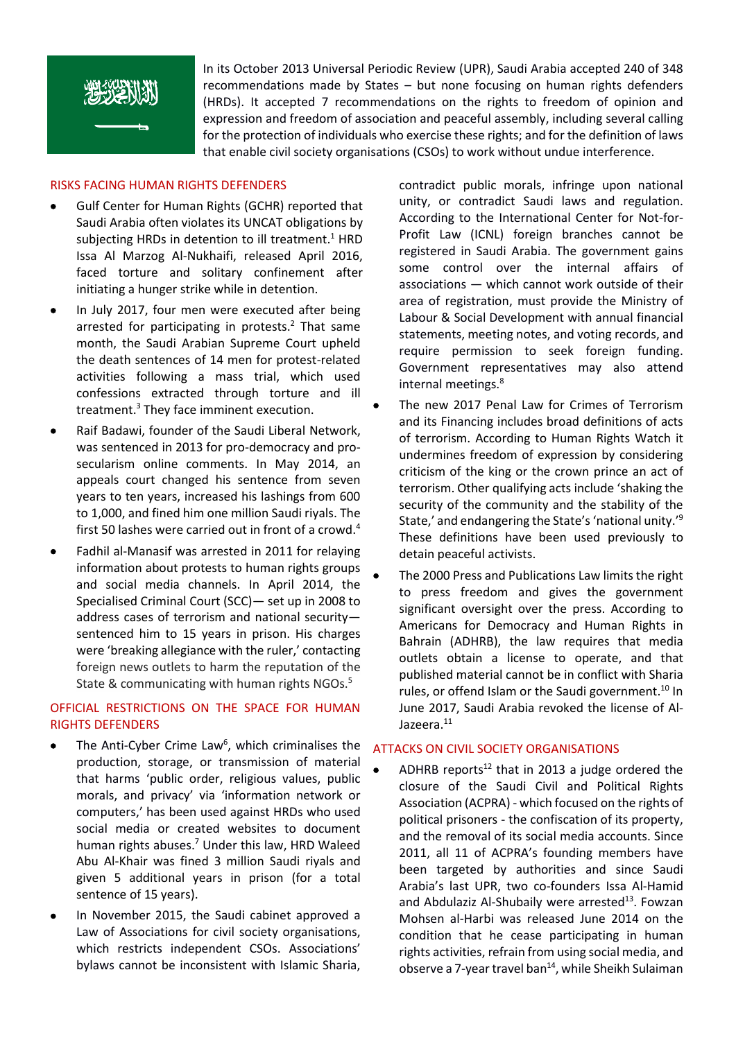

In its October 2013 Universal Periodic Review (UPR), Saudi Arabia accepted 240 of 348 recommendations made by States – but none focusing on human rights defenders (HRDs). It accepted 7 recommendations on the rights to freedom of opinion and expression and freedom of association and peaceful assembly, including several calling for the protection of individuals who exercise these rights; and for the definition of laws that enable civil society organisations (CSOs) to work without undue interference.

#### RISKS FACING HUMAN RIGHTS DEFENDERS

- Gulf Center for Human Rights (GCHR) reported that Saudi Arabia often violates its UNCAT obligations by subjecting HRDs in detention to ill treatment.<sup>1</sup> HRD Issa Al Marzog Al-Nukhaifi, released April 2016, faced torture and solitary confinement after initiating a hunger strike while in detention.
- In July 2017, four men were executed after being arrested for participating in protests. $2$  That same month, the Saudi Arabian Supreme Court upheld the death sentences of 14 men for protest-related activities following a mass trial, which used confessions extracted through torture and ill treatment. <sup>3</sup> They face imminent execution.
- Raif Badawi, founder of the Saudi Liberal Network, was sentenced in 2013 for pro-democracy and prosecularism online comments. In May 2014, an appeals court changed his sentence from seven years to ten years, increased his lashings from 600 to 1,000, and fined him one million Saudi riyals. The first 50 lashes were carried out in front of a crowd.<sup>4</sup>
- Fadhil al-Manasif was arrested in 2011 for relaying information about protests to human rights groups and social media channels. In April 2014, the Specialised Criminal Court (SCC)— set up in 2008 to address cases of terrorism and national security sentenced him to 15 years in prison. His charges were 'breaking allegiance with the ruler,' contacting foreign news outlets to harm the reputation of the State & communicating with human rights NGOs.<sup>5</sup>

#### OFFICIAL RESTRICTIONS ON THE SPACE FOR HUMAN RIGHTS DEFENDERS

- The Anti-Cyber Crime Law<sup>6</sup>, which criminalises the production, storage, or transmission of material that harms 'public order, religious values, public morals, and privacy' via 'information network or computers,' has been used against HRDs who used social media or created websites to document human rights abuses.<sup>7</sup> Under this law, HRD Waleed Abu Al-Khair was fined 3 million Saudi riyals and given 5 additional years in prison (for a total sentence of 15 years).
- In November 2015, the Saudi cabinet approved a Law of Associations for civil society organisations, which restricts independent CSOs. Associations' bylaws cannot be inconsistent with Islamic Sharia,

contradict public morals, infringe upon national unity, or contradict Saudi laws and regulation. According to the International Center for Not-for-Profit Law (ICNL) foreign branches cannot be registered in Saudi Arabia. The government gains some control over the internal affairs of associations — which cannot work outside of their area of registration, must provide the Ministry of Labour & Social Development with annual financial statements, meeting notes, and voting records, and require permission to seek foreign funding. Government representatives may also attend internal meetings. 8

- The new 2017 Penal Law for Crimes of Terrorism and its Financing includes broad definitions of acts of terrorism. According to Human Rights Watch it undermines freedom of expression by considering criticism of the king or the crown prince an act of terrorism. Other qualifying acts include 'shaking the security of the community and the stability of the State,' and endangering the State's 'national unity.'<sup>9</sup> These definitions have been used previously to detain peaceful activists.
- The 2000 Press and Publications Law limits the right to press freedom and gives the government significant oversight over the press. According to Americans for Democracy and Human Rights in Bahrain (ADHRB), the law requires that media outlets obtain a license to operate, and that published material cannot be in conflict with Sharia rules, or offend Islam or the Saudi government.<sup>10</sup> In June 2017, Saudi Arabia revoked the license of Al-Jazeera.<sup>11</sup>

#### ATTACKS ON CIVIL SOCIETY ORGANISATIONS

• ADHRB reports<sup>12</sup> that in 2013 a judge ordered the closure of the Saudi Civil and Political Rights Association (ACPRA) - which focused on the rights of political prisoners - the confiscation of its property, and the removal of its social media accounts. Since 2011, all 11 of ACPRA's founding members have been targeted by authorities and since Saudi Arabia's last UPR, two co-founders Issa Al-Hamid and Abdulaziz Al-Shubaily were arrested<sup>13</sup>. Fowzan Mohsen al-Harbi was released June 2014 on the condition that he cease participating in human rights activities, refrain from using social media, and observe a 7-year travel ban<sup>14</sup>, while Sheikh Sulaiman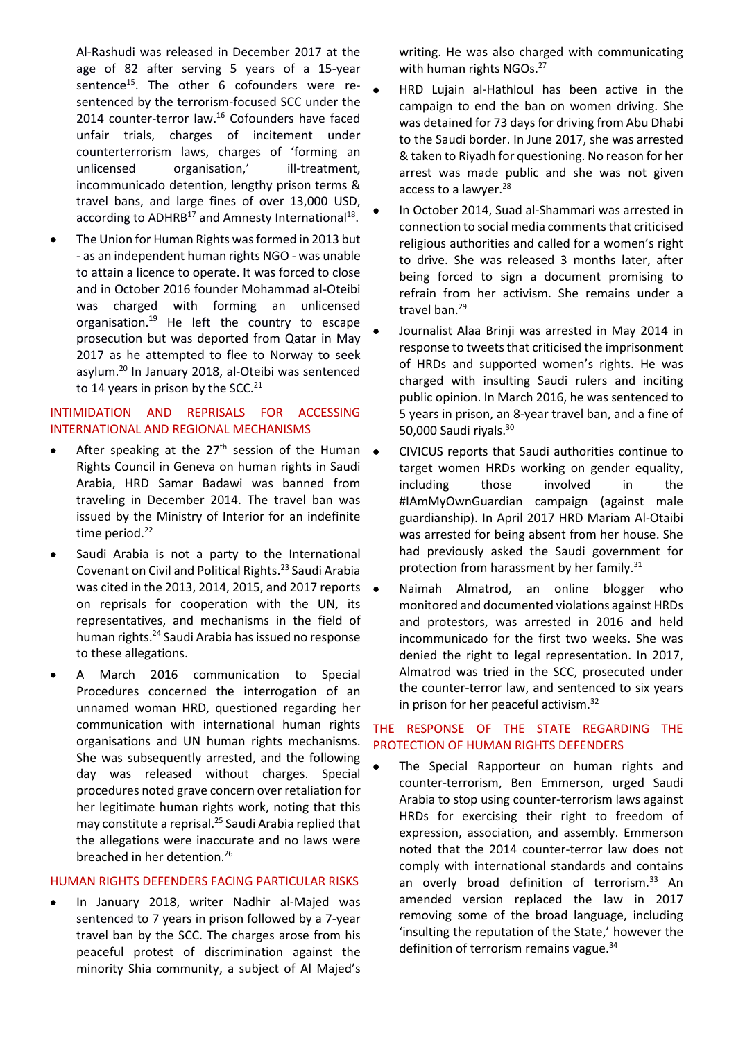Al-Rashudi was released in December 2017 at the age of 82 after serving 5 years of a 15-year sentence<sup>15</sup>. The other 6 cofounders were resentenced by the terrorism-focused SCC under the 2014 counter-terror law. <sup>16</sup> Cofounders have faced unfair trials, charges of incitement under counterterrorism laws, charges of 'forming an unlicensed organisation,' ill-treatment, incommunicado detention, lengthy prison terms & travel bans, and large fines of over 13,000 USD, according to ADHRB $^{17}$  and Amnesty International<sup>18</sup>.

 The Union for Human Rights was formed in 2013 but - as an independent human rights NGO - was unable to attain a licence to operate. It was forced to close and in October 2016 founder Mohammad al-Oteibi was charged with forming an unlicensed organisation. $19$  He left the country to escape prosecution but was deported from Qatar in May 2017 as he attempted to flee to Norway to seek asylum.<sup>20</sup> In January 2018, al-Oteibi was sentenced to 14 years in prison by the SCC.<sup>21</sup>

#### INTIMIDATION AND REPRISALS FOR ACCESSING INTERNATIONAL AND REGIONAL MECHANISMS

- After speaking at the  $27<sup>th</sup>$  session of the Human  $\bullet$ Rights Council in Geneva on human rights in Saudi Arabia, HRD Samar Badawi was banned from traveling in December 2014. The travel ban was issued by the Ministry of Interior for an indefinite time period.<sup>22</sup>
- Saudi Arabia is not a party to the International Covenant on Civil and Political Rights. <sup>23</sup> Saudi Arabia was cited in the 2013, 2014, 2015, and 2017 reports on reprisals for cooperation with the UN, its representatives, and mechanisms in the field of human rights.<sup>24</sup> Saudi Arabia has issued no response to these allegations.
- A March 2016 communication to Special Procedures concerned the interrogation of an unnamed woman HRD, questioned regarding her communication with international human rights organisations and UN human rights mechanisms. She was subsequently arrested, and the following day was released without charges. Special procedures noted grave concern over retaliation for her legitimate human rights work, noting that this may constitute a reprisal.<sup>25</sup> Saudi Arabia replied that the allegations were inaccurate and no laws were breached in her detention.<sup>26</sup>

#### HUMAN RIGHTS DEFENDERS FACING PARTICULAR RISKS

 In January 2018, writer Nadhir al-Majed was sentenced to 7 years in prison followed by a 7-year travel ban by the SCC. The charges arose from his peaceful protest of discrimination against the minority Shia community, a subject of Al Majed's writing. He was also charged with communicating with human rights NGOs.<sup>27</sup>

- HRD Lujain al-Hathloul has been active in the campaign to end the ban on women driving. She was detained for 73 days for driving from Abu Dhabi to the Saudi border. In June 2017, she was arrested & taken to Riyadh for questioning. No reason for her arrest was made public and she was not given access to a lawyer.<sup>28</sup>
- In October 2014, Suad al-Shammari was arrested in connection to social media comments that criticised religious authorities and called for a women's right to drive. She was released 3 months later, after being forced to sign a document promising to refrain from her activism. She remains under a travel ban.<sup>29</sup>
- Journalist Alaa Brinji was arrested in May 2014 in response to tweets that criticised the imprisonment of HRDs and supported women's rights. He was charged with insulting Saudi rulers and inciting public opinion. In March 2016, he was sentenced to 5 years in prison, an 8-year travel ban, and a fine of 50,000 Saudi riyals.<sup>30</sup>
- CIVICUS reports that Saudi authorities continue to target women HRDs working on gender equality, including those involved in the #IAmMyOwnGuardian campaign (against male guardianship). In April 2017 HRD Mariam Al-Otaibi was arrested for being absent from her house. She had previously asked the Saudi government for protection from harassment by her family.<sup>31</sup>
- Naimah Almatrod, an online blogger who monitored and documented violations against HRDs and protestors, was arrested in 2016 and held incommunicado for the first two weeks. She was denied the right to legal representation. In 2017, Almatrod was tried in the SCC, prosecuted under the counter-terror law, and sentenced to six years in prison for her peaceful activism.<sup>32</sup>

### THE RESPONSE OF THE STATE REGARDING THE PROTECTION OF HUMAN RIGHTS DEFENDERS

 The Special Rapporteur on human rights and counter-terrorism, Ben Emmerson, urged Saudi Arabia to stop using counter-terrorism laws against HRDs for exercising their right to freedom of expression, association, and assembly. Emmerson noted that the 2014 counter-terror law does not comply with international standards and contains an overly broad definition of terrorism.<sup>33</sup> An amended version replaced the law in 2017 removing some of the broad language, including 'insulting the reputation of the State,' however the definition of terrorism remains vague.<sup>34</sup>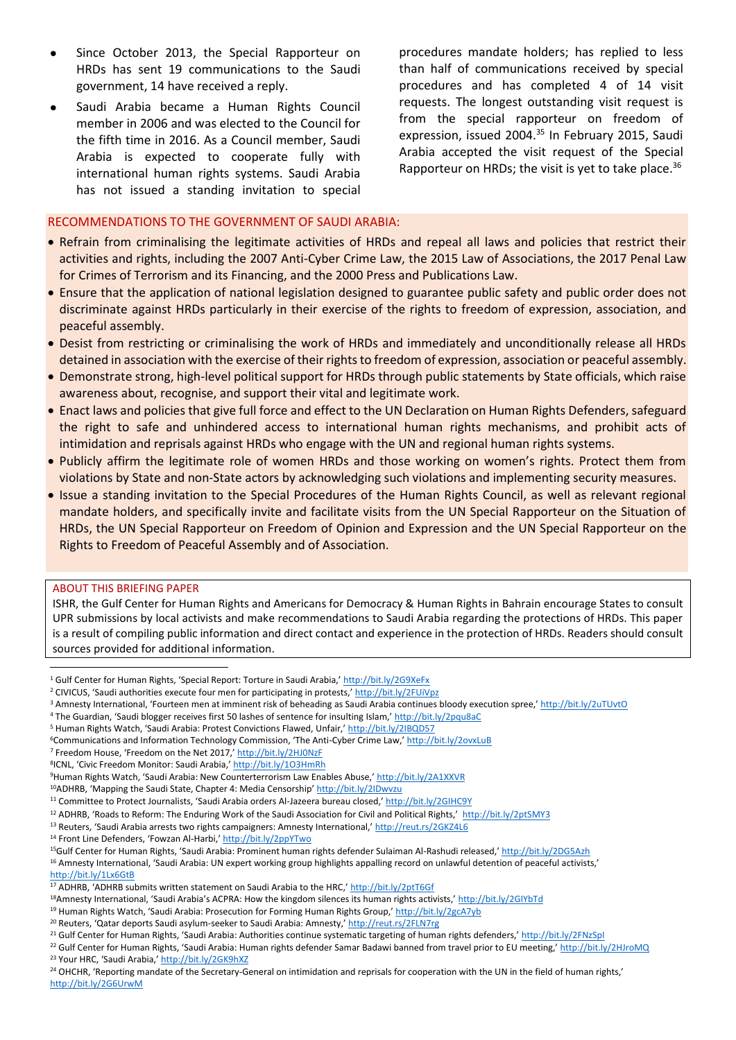- Since October 2013, the Special Rapporteur on HRDs has sent 19 communications to the Saudi government, 14 have received a reply.
- Saudi Arabia became a Human Rights Council member in 2006 and was elected to the Council for the fifth time in 2016. As a Council member, Saudi Arabia is expected to cooperate fully with international human rights systems. Saudi Arabia has not issued a standing invitation to special

procedures mandate holders; has replied to less than half of communications received by special procedures and has completed 4 of 14 visit requests. The longest outstanding visit request is from the special rapporteur on freedom of expression, issued 2004.<sup>35</sup> In February 2015, Saudi Arabia accepted the visit request of the Special Rapporteur on HRDs; the visit is yet to take place.<sup>36</sup>

#### RECOMMENDATIONS TO THE GOVERNMENT OF SAUDI ARABIA:

- Refrain from criminalising the legitimate activities of HRDs and repeal all laws and policies that restrict their activities and rights, including the 2007 Anti-Cyber Crime Law, the 2015 Law of Associations, the 2017 Penal Law for Crimes of Terrorism and its Financing, and the 2000 Press and Publications Law.
- Ensure that the application of national legislation designed to guarantee public safety and public order does not discriminate against HRDs particularly in their exercise of the rights to freedom of expression, association, and peaceful assembly.
- Desist from restricting or criminalising the work of HRDs and immediately and unconditionally release all HRDs detained in association with the exercise of their rights to freedom of expression, association or peaceful assembly.
- Demonstrate strong, high-level political support for HRDs through public statements by State officials, which raise awareness about, recognise, and support their vital and legitimate work.
- Enact laws and policies that give full force and effect to the UN Declaration on Human Rights Defenders, safeguard the right to safe and unhindered access to international human rights mechanisms, and prohibit acts of intimidation and reprisals against HRDs who engage with the UN and regional human rights systems.
- Publicly affirm the legitimate role of women HRDs and those working on women's rights. Protect them from violations by State and non-State actors by acknowledging such violations and implementing security measures.
- Issue a standing invitation to the Special Procedures of the Human Rights Council, as well as relevant regional mandate holders, and specifically invite and facilitate visits from the UN Special Rapporteur on the Situation of HRDs, the UN Special Rapporteur on Freedom of Opinion and Expression and the UN Special Rapporteur on the Rights to Freedom of Peaceful Assembly and of Association.

#### ABOUT THIS BRIEFING PAPER

 $\overline{\phantom{a}}$ 

ISHR, the Gulf Center for Human Rights and Americans for Democracy & Human Rights in Bahrain encourage States to consult UPR submissions by local activists and make recommendations to Saudi Arabia regarding the protections of HRDs. This paper is a result of compiling public information and direct contact and experience in the protection of HRDs. Readers should consult sources provided for additional information.

<sup>4</sup> The Guardian, 'Saudi blogger receives first 50 lashes of sentence for insulting Islam,' http://bit.ly/2pqu8aC

<sup>&</sup>lt;sup>1</sup> Gulf Center for Human Rights, 'Special Report: Torture in Saudi Arabia,' <http://bit.ly/2G9XeFx>

<sup>&</sup>lt;sup>2</sup> CIVICUS, 'Saudi authorities execute four men for participating in protests,' http://bit.ly/2FUiVpz

<sup>3</sup> Amnesty International, 'Fourteen men at imminent risk of beheading as Saudi Arabia continues bloody execution spree,' http://bit.ly/2uTUvtO

<sup>5</sup> Human Rights Watch, 'Saudi Arabia: Protest Convictions Flawed, Unfair,' http://bit.ly/2IBQD57

<sup>&</sup>lt;sup>6</sup>Communications and Information Technology Commission, 'The Anti-Cyber Crime Law,' http://bit.ly/2ovxLuB

<sup>7</sup> Freedom House, 'Freedom on the Net 2017,' http://bit.ly/2HJ0NzF

<sup>&</sup>lt;sup>8</sup>ICNL, 'Civic Freedom Monitor: Saudi Arabia,' <u>http://bit.ly/1O3HmRh</u>

<sup>9</sup>Human Rights Watch, 'Saudi Arabia: New Counterterrorism Law Enables Abuse,' http://bit.ly/2A1XXVR

<sup>&</sup>lt;sup>10</sup>ADHRB, 'Mapping the Saudi State, Chapter 4: Media Censorship' http://bit.ly/2IDwvzu

<sup>&</sup>lt;sup>11</sup> Committee to Protect Journalists, 'Saudi Arabia orders Al-Jazeera bureau closed,' http://bit.ly/2GIHC9Y

<sup>&</sup>lt;sup>12</sup> ADHRB, 'Roads to Reform: The Enduring Work of the Saudi Association for Civil and Political Rights,' http://bit.ly/2ptSMY3

<sup>&</sup>lt;sup>13</sup> Reuters, 'Saudi Arabia arrests two rights campaigners: Amnesty International,' http://reut.rs/2GKZ4L6

<sup>14</sup> Front Line Defenders, 'Fowzan Al-Harbi,' http://bit.ly/2ppYTwo

<sup>&</sup>lt;sup>15</sup>Gulf Center for Human Rights, 'Saudi Arabia: Prominent human rights defender Sulaiman Al-Rashudi released,' http://bit.ly/2DG5Azh

<sup>&</sup>lt;sup>16</sup> Amnesty International, 'Saudi Arabia: UN expert working group highlights appalling record on unlawful detention of peaceful activists,' http://bit.ly/1Lx6GtB

<sup>17</sup> ADHRB, 'ADHRB submits written statement on Saudi Arabia to the HRC,' http://bit.ly/2ptT6Gf

<sup>&</sup>lt;sup>18</sup>Amnesty International, 'Saudi Arabia's ACPRA: How the kingdom silences its human rights activists,' http://bit.ly/2GIYbTd

<sup>&</sup>lt;sup>19</sup> Human Rights Watch, 'Saudi Arabia: Prosecution for Forming Human Rights Group,' http://bit.ly/2gcA7yb

<sup>&</sup>lt;sup>20</sup> Reuters, 'Qatar deports Saudi asylum-seeker to Saudi Arabia: Amnesty,' http://reut.rs/2FLN7rg

<sup>&</sup>lt;sup>21</sup> Gulf Center for Human Rights, 'Saudi Arabia: Authorities continue systematic targeting of human rights defenders,' http://bit.ly/2FNzSpI

<sup>&</sup>lt;sup>22</sup> Gulf Center for Human Rights, 'Saudi Arabia: Human rights defender Samar Badawi banned from travel prior to EU meeting,' http://bit.ly/2HJroMQ <sup>23</sup> Your HRC, 'Saudi Arabia,' http://bit.ly/2GK9hXZ

<sup>&</sup>lt;sup>24</sup> OHCHR, 'Reporting mandate of the Secretary-General on intimidation and reprisals for cooperation with the UN in the field of human rights,' http://bit.ly/2G6UrwM